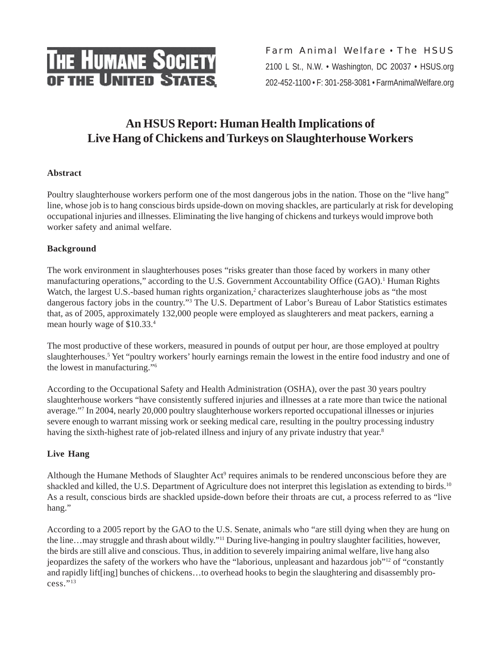

Farm Animal Welfare • The HSUS 2100 L St., N.W. • Washington, DC 20037 • HSUS.org 202-452-1100 • F: 301-258-3081 • FarmAnimalWelfare.org

# **An HSUS Report: Human Health Implications of Live Hang of Chickens and Turkeys on Slaughterhouse Workers**

# **Abstract**

Poultry slaughterhouse workers perform one of the most dangerous jobs in the nation. Those on the "live hang" line, whose job is to hang conscious birds upside-down on moving shackles, are particularly at risk for developing occupational injuries and illnesses. Eliminating the live hanging of chickens and turkeys would improve both worker safety and animal welfare.

## **Background**

The work environment in slaughterhouses poses "risks greater than those faced by workers in many other manufacturing operations," according to the U.S. Government Accountability Office (GAO).<sup>1</sup> Human Rights Watch, the largest U.S.-based human rights organization,<sup>2</sup> characterizes slaughterhouse jobs as "the most dangerous factory jobs in the country."3 The U.S. Department of Labor's Bureau of Labor Statistics estimates that, as of 2005, approximately 132,000 people were employed as slaughterers and meat packers, earning a mean hourly wage of \$10.33.4

The most productive of these workers, measured in pounds of output per hour, are those employed at poultry slaughterhouses.<sup>5</sup> Yet "poultry workers' hourly earnings remain the lowest in the entire food industry and one of the lowest in manufacturing."6

According to the Occupational Safety and Health Administration (OSHA), over the past 30 years poultry slaughterhouse workers "have consistently suffered injuries and illnesses at a rate more than twice the national average."7 In 2004, nearly 20,000 poultry slaughterhouse workers reported occupational illnesses or injuries severe enough to warrant missing work or seeking medical care, resulting in the poultry processing industry having the sixth-highest rate of job-related illness and injury of any private industry that year.<sup>8</sup>

## **Live Hang**

Although the Humane Methods of Slaughter Act<sup>9</sup> requires animals to be rendered unconscious before they are shackled and killed, the U.S. Department of Agriculture does not interpret this legislation as extending to birds.<sup>10</sup> As a result, conscious birds are shackled upside-down before their throats are cut, a process referred to as "live hang."

According to a 2005 report by the GAO to the U.S. Senate, animals who "are still dying when they are hung on the line…may struggle and thrash about wildly."11 During live-hanging in poultry slaughter facilities, however, the birds are still alive and conscious. Thus, in addition to severely impairing animal welfare, live hang also jeopardizes the safety of the workers who have the "laborious, unpleasant and hazardous job"12 of "constantly and rapidly lift[ing] bunches of chickens…to overhead hooks to begin the slaughtering and disassembly pro $cess.$ "<sup>13</sup>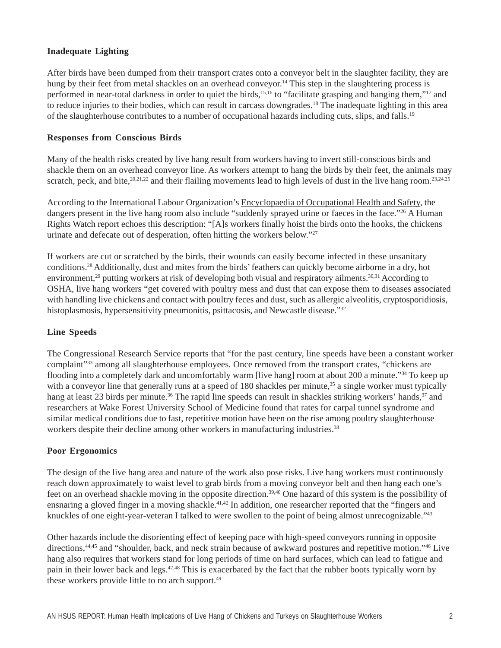### **Inadequate Lighting**

After birds have been dumped from their transport crates onto a conveyor belt in the slaughter facility, they are hung by their feet from metal shackles on an overhead conveyor.<sup>14</sup> This step in the slaughtering process is performed in near-total darkness in order to quiet the birds,<sup>15,16</sup> to "facilitate grasping and hanging them,"<sup>17</sup> and to reduce injuries to their bodies, which can result in carcass downgrades.18 The inadequate lighting in this area of the slaughterhouse contributes to a number of occupational hazards including cuts, slips, and falls.19

#### **Responses from Conscious Birds**

Many of the health risks created by live hang result from workers having to invert still-conscious birds and shackle them on an overhead conveyor line. As workers attempt to hang the birds by their feet, the animals may scratch, peck, and bite,  $20,21,22$  and their flailing movements lead to high levels of dust in the live hang room.  $23,24,25$ 

According to the International Labour Organization's Encyclopaedia of Occupational Health and Safety, the dangers present in the live hang room also include "suddenly sprayed urine or faeces in the face."<sup>26</sup> A Human Rights Watch report echoes this description: "[A]s workers finally hoist the birds onto the hooks, the chickens urinate and defecate out of desperation, often hitting the workers below."<sup>27</sup>

If workers are cut or scratched by the birds, their wounds can easily become infected in these unsanitary conditions.28 Additionally, dust and mites from the birds' feathers can quickly become airborne in a dry, hot environment,<sup>29</sup> putting workers at risk of developing both visual and respiratory ailments.<sup>30,31</sup> According to OSHA, live hang workers "get covered with poultry mess and dust that can expose them to diseases associated with handling live chickens and contact with poultry feces and dust, such as allergic alveolitis, cryptosporidiosis, histoplasmosis, hypersensitivity pneumonitis, psittacosis, and Newcastle disease."<sup>32</sup>

#### **Line Speeds**

The Congressional Research Service reports that "for the past century, line speeds have been a constant worker complaint"<sup>33</sup> among all slaughterhouse employees. Once removed from the transport crates, "chickens are flooding into a completely dark and uncomfortably warm [live hang] room at about 200 a minute."34 To keep up with a conveyor line that generally runs at a speed of 180 shackles per minute,<sup>35</sup> a single worker must typically hang at least 23 birds per minute.<sup>36</sup> The rapid line speeds can result in shackles striking workers' hands,<sup>37</sup> and researchers at Wake Forest University School of Medicine found that rates for carpal tunnel syndrome and similar medical conditions due to fast, repetitive motion have been on the rise among poultry slaughterhouse workers despite their decline among other workers in manufacturing industries.<sup>38</sup>

#### **Poor Ergonomics**

The design of the live hang area and nature of the work also pose risks. Live hang workers must continuously reach down approximately to waist level to grab birds from a moving conveyor belt and then hang each one's feet on an overhead shackle moving in the opposite direction.<sup>39,40</sup> One hazard of this system is the possibility of ensnaring a gloved finger in a moving shackle.41,42 In addition, one researcher reported that the "fingers and knuckles of one eight-year-veteran I talked to were swollen to the point of being almost unrecognizable."<sup>43</sup>

Other hazards include the disorienting effect of keeping pace with high-speed conveyors running in opposite directions,<sup>44,45</sup> and "shoulder, back, and neck strain because of awkward postures and repetitive motion."<sup>46</sup> Live hang also requires that workers stand for long periods of time on hard surfaces, which can lead to fatigue and pain in their lower back and legs.47,48 This is exacerbated by the fact that the rubber boots typically worn by these workers provide little to no arch support.<sup>49</sup>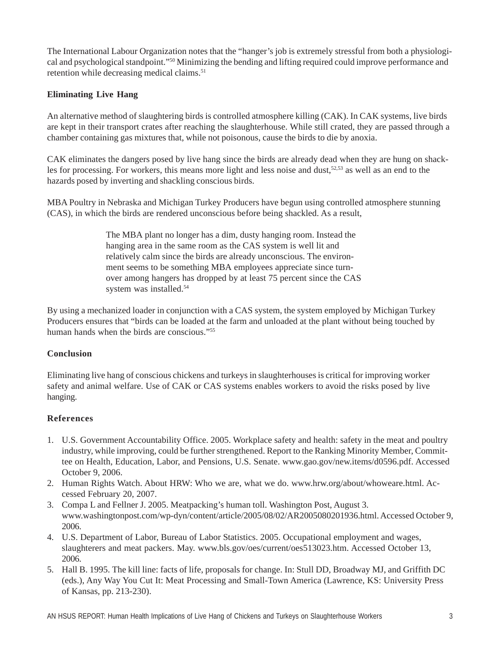The International Labour Organization notes that the "hanger's job is extremely stressful from both a physiological and psychological standpoint."50 Minimizing the bending and lifting required could improve performance and retention while decreasing medical claims.<sup>51</sup>

## **Eliminating Live Hang**

An alternative method of slaughtering birds is controlled atmosphere killing (CAK). In CAK systems, live birds are kept in their transport crates after reaching the slaughterhouse. While still crated, they are passed through a chamber containing gas mixtures that, while not poisonous, cause the birds to die by anoxia.

CAK eliminates the dangers posed by live hang since the birds are already dead when they are hung on shackles for processing. For workers, this means more light and less noise and dust, $52,53$  as well as an end to the hazards posed by inverting and shackling conscious birds.

MBA Poultry in Nebraska and Michigan Turkey Producers have begun using controlled atmosphere stunning (CAS), in which the birds are rendered unconscious before being shackled. As a result,

> The MBA plant no longer has a dim, dusty hanging room. Instead the hanging area in the same room as the CAS system is well lit and relatively calm since the birds are already unconscious. The environment seems to be something MBA employees appreciate since turnover among hangers has dropped by at least 75 percent since the CAS system was installed.54

By using a mechanized loader in conjunction with a CAS system, the system employed by Michigan Turkey Producers ensures that "birds can be loaded at the farm and unloaded at the plant without being touched by human hands when the birds are conscious."<sup>55</sup>

## **Conclusion**

Eliminating live hang of conscious chickens and turkeys in slaughterhouses is critical for improving worker safety and animal welfare. Use of CAK or CAS systems enables workers to avoid the risks posed by live hanging.

## **References**

- 1. U.S. Government Accountability Office. 2005. Workplace safety and health: safety in the meat and poultry industry, while improving, could be further strengthened. Report to the Ranking Minority Member, Committee on Health, Education, Labor, and Pensions, U.S. Senate. www.gao.gov/new.items/d0596.pdf. Accessed October 9, 2006.
- 2. Human Rights Watch. About HRW: Who we are, what we do. www.hrw.org/about/whoweare.html. Accessed February 20, 2007.
- 3. Compa L and Fellner J. 2005. Meatpacking's human toll. Washington Post, August 3. www.washingtonpost.com/wp-dyn/content/article/2005/08/02/AR2005080201936.html. Accessed October 9, 2006.
- 4. U.S. Department of Labor, Bureau of Labor Statistics. 2005. Occupational employment and wages, slaughterers and meat packers. May. www.bls.gov/oes/current/oes513023.htm. Accessed October 13, 2006.
- 5. Hall B. 1995. The kill line: facts of life, proposals for change. In: Stull DD, Broadway MJ, and Griffith DC (eds.), Any Way You Cut It: Meat Processing and Small-Town America (Lawrence, KS: University Press of Kansas, pp. 213-230).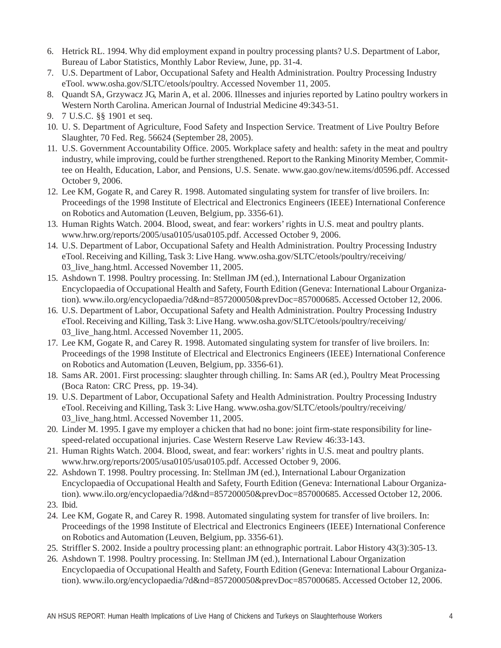- 6. Hetrick RL. 1994. Why did employment expand in poultry processing plants? U.S. Department of Labor, Bureau of Labor Statistics, Monthly Labor Review, June, pp. 31-4.
- 7. U.S. Department of Labor, Occupational Safety and Health Administration. Poultry Processing Industry eTool. www.osha.gov/SLTC/etools/poultry. Accessed November 11, 2005.
- 8. Quandt SA, Grzywacz JG, Marin A, et al. 2006. Illnesses and injuries reported by Latino poultry workers in Western North Carolina. American Journal of Industrial Medicine 49:343-51.
- 9. 7 U.S.C. §§ 1901 et seq.
- 10. U. S. Department of Agriculture, Food Safety and Inspection Service. Treatment of Live Poultry Before Slaughter, 70 Fed. Reg. 56624 (September 28, 2005).
- 11. U.S. Government Accountability Office. 2005. Workplace safety and health: safety in the meat and poultry industry, while improving, could be further strengthened. Report to the Ranking Minority Member, Committee on Health, Education, Labor, and Pensions, U.S. Senate. www.gao.gov/new.items/d0596.pdf. Accessed October 9, 2006.
- 12. Lee KM, Gogate R, and Carey R. 1998. Automated singulating system for transfer of live broilers. In: Proceedings of the 1998 Institute of Electrical and Electronics Engineers (IEEE) International Conference on Robotics and Automation (Leuven, Belgium, pp. 3356-61).
- 13. Human Rights Watch. 2004. Blood, sweat, and fear: workers' rights in U.S. meat and poultry plants. www.hrw.org/reports/2005/usa0105/usa0105.pdf. Accessed October 9, 2006.
- 14. U.S. Department of Labor, Occupational Safety and Health Administration. Poultry Processing Industry eTool. Receiving and Killing, Task 3: Live Hang. www.osha.gov/SLTC/etools/poultry/receiving/ 03 live hang.html. Accessed November 11, 2005.
- 15. Ashdown T. 1998. Poultry processing. In: Stellman JM (ed.), International Labour Organization Encyclopaedia of Occupational Health and Safety, Fourth Edition (Geneva: International Labour Organization). www.ilo.org/encyclopaedia/?d&nd=857200050&prevDoc=857000685. Accessed October 12, 2006.
- 16. U.S. Department of Labor, Occupational Safety and Health Administration. Poultry Processing Industry eTool. Receiving and Killing, Task 3: Live Hang. www.osha.gov/SLTC/etools/poultry/receiving/ 03 live hang.html. Accessed November 11, 2005.
- 17. Lee KM, Gogate R, and Carey R. 1998. Automated singulating system for transfer of live broilers. In: Proceedings of the 1998 Institute of Electrical and Electronics Engineers (IEEE) International Conference on Robotics and Automation (Leuven, Belgium, pp. 3356-61).
- 18. Sams AR. 2001. First processing: slaughter through chilling. In: Sams AR (ed.), Poultry Meat Processing (Boca Raton: CRC Press, pp. 19-34).
- 19. U.S. Department of Labor, Occupational Safety and Health Administration. Poultry Processing Industry eTool. Receiving and Killing, Task 3: Live Hang. www.osha.gov/SLTC/etools/poultry/receiving/ 03 live hang.html. Accessed November 11, 2005.
- 20. Linder M. 1995. I gave my employer a chicken that had no bone: joint firm-state responsibility for linespeed-related occupational injuries. Case Western Reserve Law Review 46:33-143.
- 21. Human Rights Watch. 2004. Blood, sweat, and fear: workers' rights in U.S. meat and poultry plants. www.hrw.org/reports/2005/usa0105/usa0105.pdf. Accessed October 9, 2006.
- 22. Ashdown T. 1998. Poultry processing. In: Stellman JM (ed.), International Labour Organization Encyclopaedia of Occupational Health and Safety, Fourth Edition (Geneva: International Labour Organization). www.ilo.org/encyclopaedia/?d&nd=857200050&prevDoc=857000685. Accessed October 12, 2006.
- 23. Ibid.
- 24. Lee KM, Gogate R, and Carey R. 1998. Automated singulating system for transfer of live broilers. In: Proceedings of the 1998 Institute of Electrical and Electronics Engineers (IEEE) International Conference on Robotics and Automation (Leuven, Belgium, pp. 3356-61).
- 25. Striffler S. 2002. Inside a poultry processing plant: an ethnographic portrait. Labor History 43(3):305-13.
- 26. Ashdown T. 1998. Poultry processing. In: Stellman JM (ed.), International Labour Organization Encyclopaedia of Occupational Health and Safety, Fourth Edition (Geneva: International Labour Organization). www.ilo.org/encyclopaedia/?d&nd=857200050&prevDoc=857000685. Accessed October 12, 2006.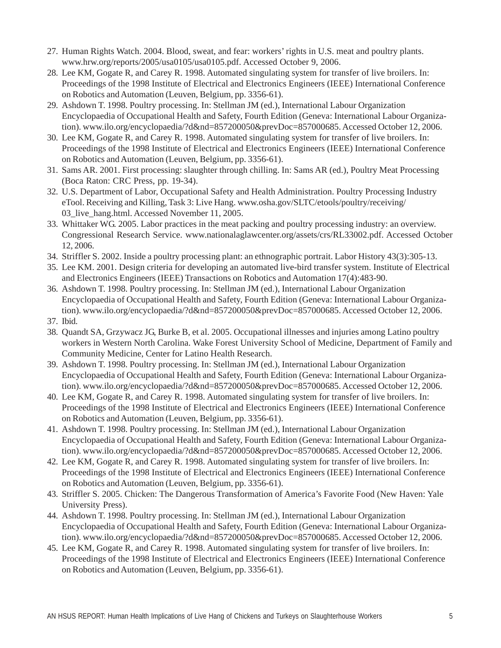- 27. Human Rights Watch. 2004. Blood, sweat, and fear: workers' rights in U.S. meat and poultry plants. www.hrw.org/reports/2005/usa0105/usa0105.pdf. Accessed October 9, 2006.
- 28. Lee KM, Gogate R, and Carey R. 1998. Automated singulating system for transfer of live broilers. In: Proceedings of the 1998 Institute of Electrical and Electronics Engineers (IEEE) International Conference on Robotics and Automation (Leuven, Belgium, pp. 3356-61).
- 29. Ashdown T. 1998. Poultry processing. In: Stellman JM (ed.), International Labour Organization Encyclopaedia of Occupational Health and Safety, Fourth Edition (Geneva: International Labour Organization). www.ilo.org/encyclopaedia/?d&nd=857200050&prevDoc=857000685. Accessed October 12, 2006.
- 30. Lee KM, Gogate R, and Carey R. 1998. Automated singulating system for transfer of live broilers. In: Proceedings of the 1998 Institute of Electrical and Electronics Engineers (IEEE) International Conference on Robotics and Automation (Leuven, Belgium, pp. 3356-61).
- 31. Sams AR. 2001. First processing: slaughter through chilling. In: Sams AR (ed.), Poultry Meat Processing (Boca Raton: CRC Press, pp. 19-34).
- 32. U.S. Department of Labor, Occupational Safety and Health Administration. Poultry Processing Industry eTool. Receiving and Killing, Task 3: Live Hang. www.osha.gov/SLTC/etools/poultry/receiving/ 03 live hang.html. Accessed November 11, 2005.
- 33. Whittaker WG. 2005. Labor practices in the meat packing and poultry processing industry: an overview. Congressional Research Service. www.nationalaglawcenter.org/assets/crs/RL33002.pdf. Accessed October 12, 2006.
- 34. Striffler S. 2002. Inside a poultry processing plant: an ethnographic portrait. Labor History 43(3):305-13.
- 35. Lee KM. 2001. Design criteria for developing an automated live-bird transfer system. Institute of Electrical and Electronics Engineers (IEEE) Transactions on Robotics and Automation 17(4):483-90.
- 36. Ashdown T. 1998. Poultry processing. In: Stellman JM (ed.), International Labour Organization Encyclopaedia of Occupational Health and Safety, Fourth Edition (Geneva: International Labour Organization). www.ilo.org/encyclopaedia/?d&nd=857200050&prevDoc=857000685. Accessed October 12, 2006. 37. Ibid.
- 38. Quandt SA, Grzywacz JG, Burke B, et al. 2005. Occupational illnesses and injuries among Latino poultry workers in Western North Carolina. Wake Forest University School of Medicine, Department of Family and Community Medicine, Center for Latino Health Research.
- 39. Ashdown T. 1998. Poultry processing. In: Stellman JM (ed.), International Labour Organization Encyclopaedia of Occupational Health and Safety, Fourth Edition (Geneva: International Labour Organization). www.ilo.org/encyclopaedia/?d&nd=857200050&prevDoc=857000685. Accessed October 12, 2006.
- 40. Lee KM, Gogate R, and Carey R. 1998. Automated singulating system for transfer of live broilers. In: Proceedings of the 1998 Institute of Electrical and Electronics Engineers (IEEE) International Conference on Robotics and Automation (Leuven, Belgium, pp. 3356-61).
- 41. Ashdown T. 1998. Poultry processing. In: Stellman JM (ed.), International Labour Organization Encyclopaedia of Occupational Health and Safety, Fourth Edition (Geneva: International Labour Organization). www.ilo.org/encyclopaedia/?d&nd=857200050&prevDoc=857000685. Accessed October 12, 2006.
- 42. Lee KM, Gogate R, and Carey R. 1998. Automated singulating system for transfer of live broilers. In: Proceedings of the 1998 Institute of Electrical and Electronics Engineers (IEEE) International Conference on Robotics and Automation (Leuven, Belgium, pp. 3356-61).
- 43. Striffler S. 2005. Chicken: The Dangerous Transformation of America's Favorite Food (New Haven: Yale University Press).
- 44. Ashdown T. 1998. Poultry processing. In: Stellman JM (ed.), International Labour Organization Encyclopaedia of Occupational Health and Safety, Fourth Edition (Geneva: International Labour Organization). www.ilo.org/encyclopaedia/?d&nd=857200050&prevDoc=857000685. Accessed October 12, 2006.
- 45. Lee KM, Gogate R, and Carey R. 1998. Automated singulating system for transfer of live broilers. In: Proceedings of the 1998 Institute of Electrical and Electronics Engineers (IEEE) International Conference on Robotics and Automation (Leuven, Belgium, pp. 3356-61).